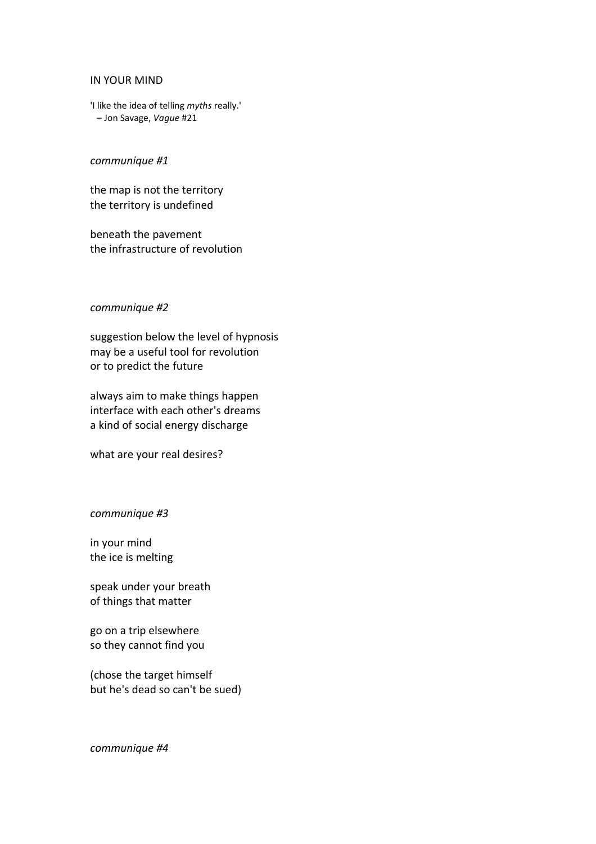#### IN YOUR MIND

'I like the idea of telling *myths* really.' – Jon Savage, *Vague* #21

# *communique #1*

the map is not the territory the territory is undefined

beneath the pavement the infrastructure of revolution

#### *communique #2*

suggestion below the level of hypnosis may be a useful tool for revolution or to predict the future

always aim to make things happen interface with each other's dreams a kind of social energy discharge

what are your real desires?

# *communique #3*

in your mind the ice is melting

speak under your breath of things that matter

go on a trip elsewhere so they cannot find you

(chose the target himself but he's dead so can't be sued)

*communique #4*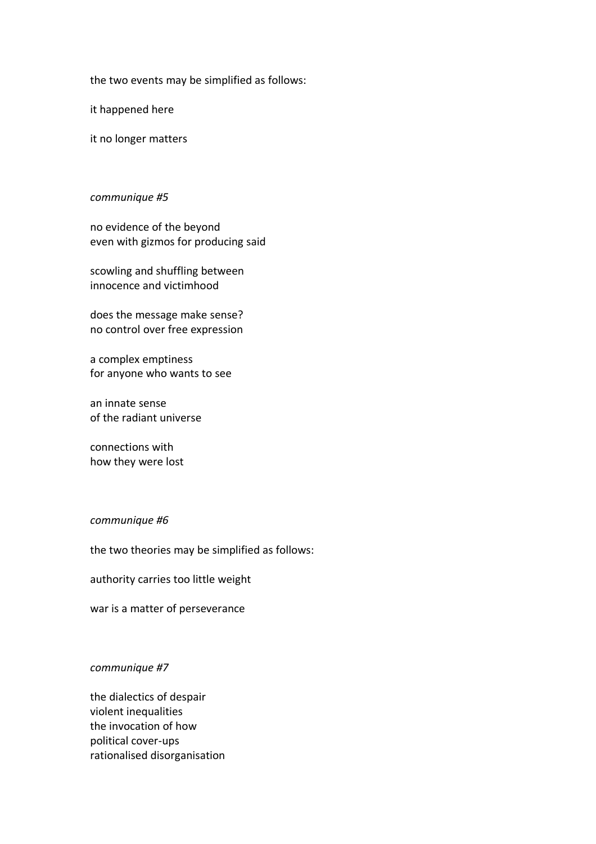the two events may be simplified as follows:

it happened here

it no longer matters

### *communique #5*

no evidence of the beyond even with gizmos for producing said

scowling and shuffling between innocence and victimhood

does the message make sense? no control over free expression

a complex emptiness for anyone who wants to see

an innate sense of the radiant universe

connections with how they were lost

# *communique #6*

the two theories may be simplified as follows:

authority carries too little weight

war is a matter of perseverance

### *communique #7*

the dialectics of despair violent inequalities the invocation of how political cover-ups rationalised disorganisation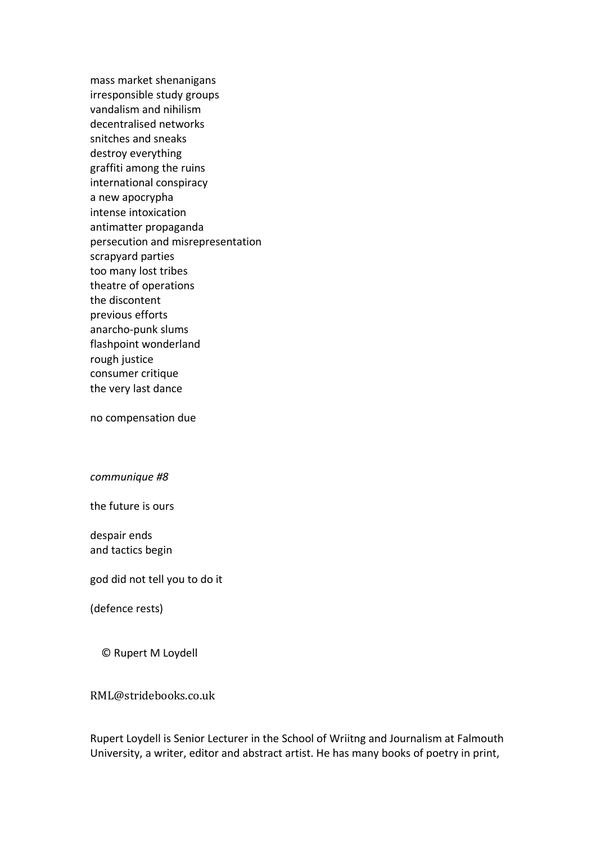mass market shenanigans irresponsible study groups vandalism and nihilism decentralised networks snitches and sneaks destroy everything graffiti among the ruins international conspiracy a new apocrypha intense intoxication antimatter propaganda persecution and misrepresentation scrapyard parties too many lost tribes theatre of operations the discontent previous efforts anarcho-punk slums flashpoint wonderland rough justice consumer critique the very last dance

no compensation due

*communique #8*

the future is ours

despair ends and tactics begin

god did not tell you to do it

(defence rests)

© Rupert M Loydell

RML@stridebooks.co.uk

Rupert Loydell is Senior Lecturer in the School of Wriitng and Journalism at Falmouth University, a writer, editor and abstract artist. He has many books of poetry in print,